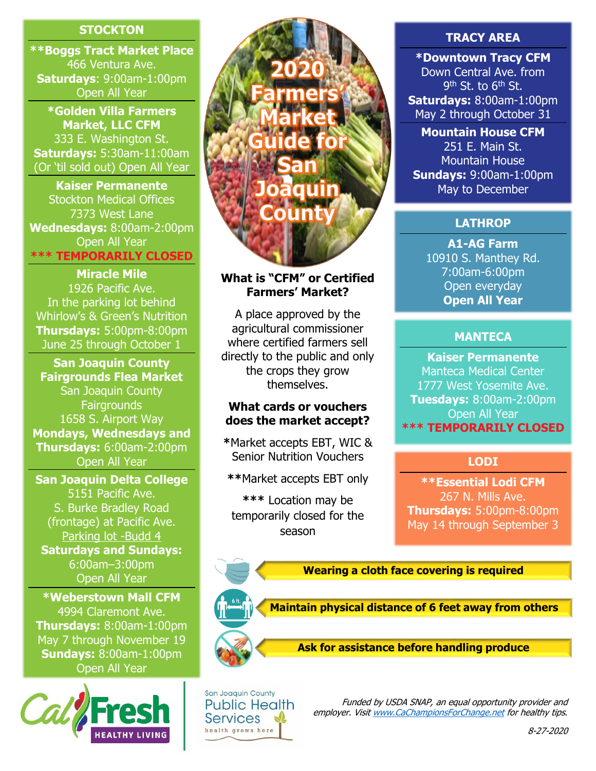## **STOCKTON**

**\*\*Boggs Tract Market Place** 466 Ventura Ave. **Saturdays**: 9:00am-1:00pm Open All Year

**\*Golden Villa Farmers Market, LLC CFM** 333 E. Washington St. **Saturdays:** 5:30am-11:00am (Or 'til sold out) Open All Year

**Kaiser Permanente** Stockton Medical Offices 7373 West Lane **Wednesdays:** 8:00am-2:00pm Open All Year **\*\*\* TEMPORARILY CLOSED**

**Miracle Mile** 1926 Pacific Ave. In the parking lot behind Whirlow's & Green's Nutrition **Thursdays:** 5:00pm-8:00pm June 25 through October 1

**San Joaquin County Fairgrounds Flea Market** San Joaquin County **Fairgrounds** 1658 S. Airport Way **Mondays, Wednesdays and Thursdays:** 6:00am-2:00pm Open All Year

**San Joaquin Delta College** 5151 Pacific Ave. S. Burke Bradley Road (frontage) at Pacific Ave. [Parking lot -Budd 4](https://www.deltacollege.edu/info/general/map/campusmaps.html) **Saturdays and Sundays:** 6:00am–3:00pm Open All Year

**\*Weberstown Mall CFM** 4994 Claremont Ave. **Thursdays:** 8:00am-1:00pm May 7 through November 19 **Sundays:** 8:00am-1:00pm Open All Year





## **What is "CFM" or Certified Farmers' Market?**

A place approved by the agricultural commissioner where certified farmers sell directly to the public and only the crops they grow themselves.

### **What cards or vouchers does the market accept?**

**\***Market accepts EBT, WIC & Senior Nutrition Vouchers

**\*\***Market accepts EBT only

**\*\*\*** Location may be temporarily closed for the season

### **TRACY AREA**

**\*Downtown Tracy CFM** Down Central Ave. from 9<sup>th</sup> St. to 6<sup>th</sup> St. **Saturdays:** 8:00am-1:00pm May 2 through October 31

**Mountain House CFM** 251 E. Main St. Mountain House **Sundays:** 9:00am-1:00pm May to December

## **LATHROP**

**A1-AG Farm** 10910 S. Manthey Rd. 7:00am-6:00pm Open everyday **Open All Year**

### **MANTECA**

**Kaiser Permanente** Manteca Medical Center 1777 West Yosemite Ave. **Tuesdays:** 8:00am-2:00pm Open All Year **\*\*\* TEMPORARILY CLOSED**

### **LODI**

**\*\*Essential Lodi CFM** 267 N. Mills Ave. **Thursdays:** 5:00pm-8:00pm May 14 through September 3

**Wearing a cloth face covering is required**



**Ask for assistance before handling produce**



Funded by USDA SNAP, an equal opportunity provider and employer. Visi[t www.CaChampionsForChange.net](http://www.cachampionsforchange.net/) for healthy tips.